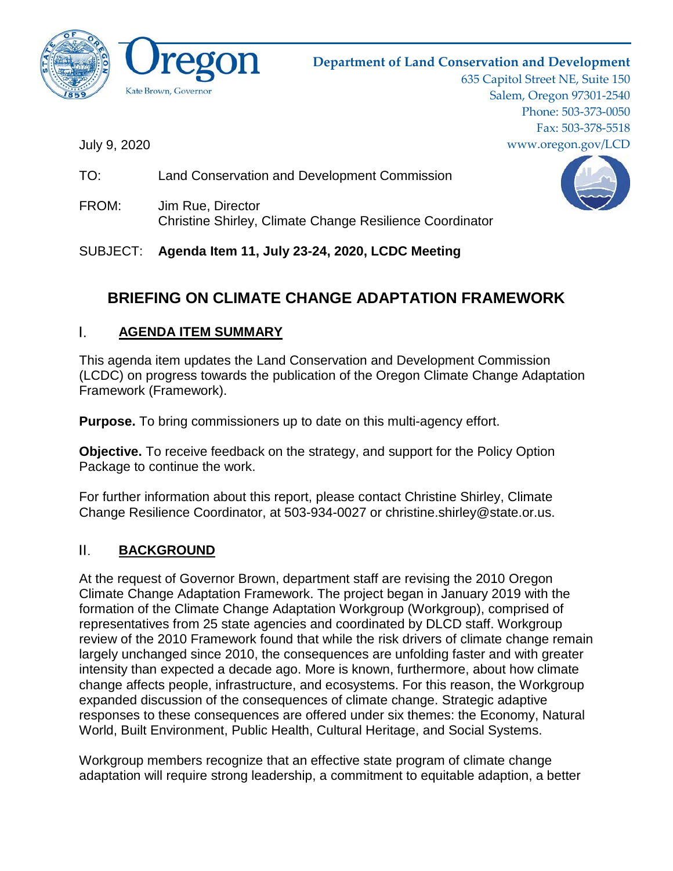

# **Department of Land Conservation and Development**

635 Capitol Street NE, Suite 150 Salem, Oregon 97301-2540 Phone: 503-373-0050 Fax: 503-378-5518 www.oregon.gov/LCD

July 9, 2020

- TO: Land Conservation and Development Commission
- FROM: Jim Rue, Director Christine Shirley, Climate Change Resilience Coordinator

SUBJECT: **Agenda Item 11, July 23-24, 2020, LCDC Meeting**

# **BRIEFING ON CLIMATE CHANGE ADAPTATION FRAMEWORK**

#### I. **AGENDA ITEM SUMMARY**

This agenda item updates the Land Conservation and Development Commission (LCDC) on progress towards the publication of the Oregon Climate Change Adaptation Framework (Framework).

**Purpose.** To bring commissioners up to date on this multi-agency effort.

**Objective.** To receive feedback on the strategy, and support for the Policy Option Package to continue the work.

For further information about this report, please contact Christine Shirley, Climate Change Resilience Coordinator, at 503-934-0027 or christine.shirley@state.or.us.

#### II. **BACKGROUND**

At the request of Governor Brown, department staff are revising the 2010 Oregon Climate Change Adaptation Framework. The project began in January 2019 with the formation of the Climate Change Adaptation Workgroup (Workgroup), comprised of representatives from 25 state agencies and coordinated by DLCD staff. Workgroup review of the 2010 Framework found that while the risk drivers of climate change remain largely unchanged since 2010, the consequences are unfolding faster and with greater intensity than expected a decade ago. More is known, furthermore, about how climate change affects people, infrastructure, and ecosystems. For this reason, the Workgroup expanded discussion of the consequences of climate change. Strategic adaptive responses to these consequences are offered under six themes: the Economy, Natural World, Built Environment, Public Health, Cultural Heritage, and Social Systems.

Workgroup members recognize that an effective state program of climate change adaptation will require strong leadership, a commitment to equitable adaption, a better

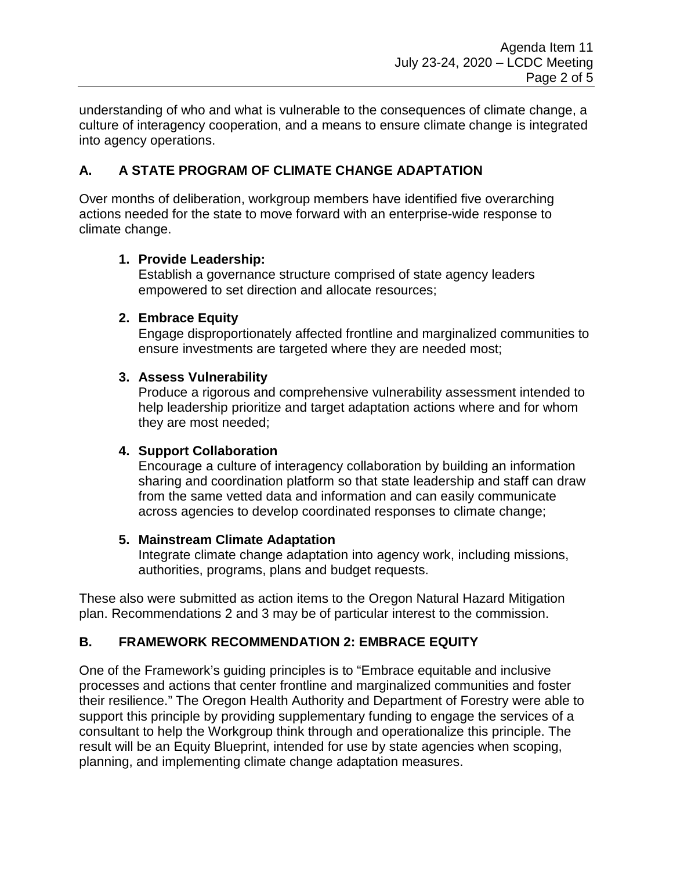understanding of who and what is vulnerable to the consequences of climate change, a culture of interagency cooperation, and a means to ensure climate change is integrated into agency operations.

# **A. A STATE PROGRAM OF CLIMATE CHANGE ADAPTATION**

Over months of deliberation, workgroup members have identified five overarching actions needed for the state to move forward with an enterprise-wide response to climate change.

### **1. Provide Leadership:**

Establish a governance structure comprised of state agency leaders empowered to set direction and allocate resources;

### **2. Embrace Equity**

Engage disproportionately affected frontline and marginalized communities to ensure investments are targeted where they are needed most;

### **3. Assess Vulnerability**

Produce a rigorous and comprehensive vulnerability assessment intended to help leadership prioritize and target adaptation actions where and for whom they are most needed;

# **4. Support Collaboration**

Encourage a culture of interagency collaboration by building an information sharing and coordination platform so that state leadership and staff can draw from the same vetted data and information and can easily communicate across agencies to develop coordinated responses to climate change;

### **5. Mainstream Climate Adaptation**

Integrate climate change adaptation into agency work, including missions, authorities, programs, plans and budget requests.

These also were submitted as action items to the Oregon Natural Hazard Mitigation plan. Recommendations 2 and 3 may be of particular interest to the commission.

# **B. FRAMEWORK RECOMMENDATION 2: EMBRACE EQUITY**

One of the Framework's guiding principles is to "Embrace equitable and inclusive processes and actions that center frontline and marginalized communities and foster their resilience." The Oregon Health Authority and Department of Forestry were able to support this principle by providing supplementary funding to engage the services of a consultant to help the Workgroup think through and operationalize this principle. The result will be an Equity Blueprint, intended for use by state agencies when scoping, planning, and implementing climate change adaptation measures.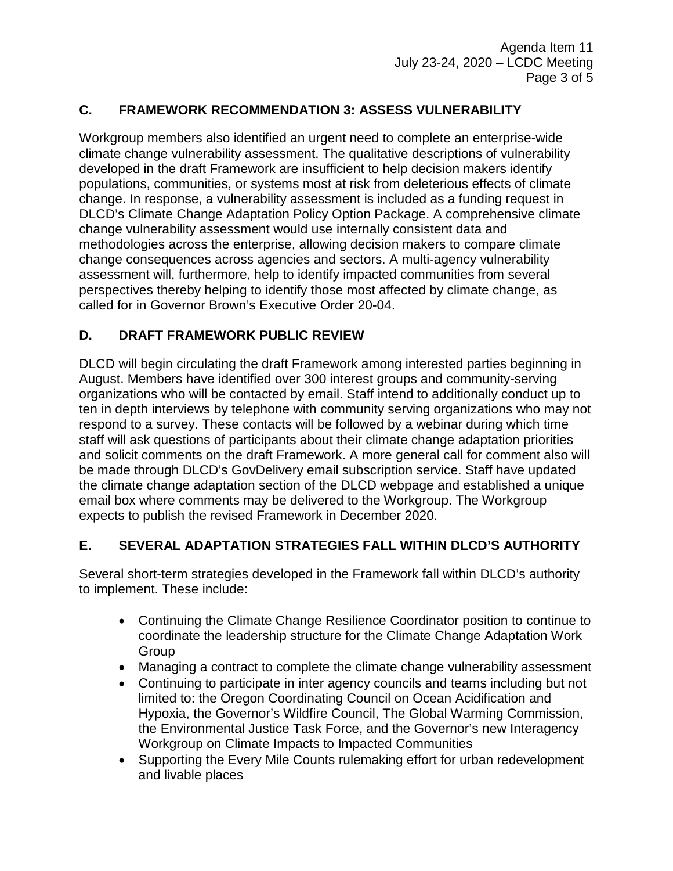# **C. FRAMEWORK RECOMMENDATION 3: ASSESS VULNERABILITY**

Workgroup members also identified an urgent need to complete an enterprise-wide climate change vulnerability assessment. The qualitative descriptions of vulnerability developed in the draft Framework are insufficient to help decision makers identify populations, communities, or systems most at risk from deleterious effects of climate change. In response, a vulnerability assessment is included as a funding request in DLCD's Climate Change Adaptation Policy Option Package. A comprehensive climate change vulnerability assessment would use internally consistent data and methodologies across the enterprise, allowing decision makers to compare climate change consequences across agencies and sectors. A multi-agency vulnerability assessment will, furthermore, help to identify impacted communities from several perspectives thereby helping to identify those most affected by climate change, as called for in Governor Brown's Executive Order 20-04.

# **D. DRAFT FRAMEWORK PUBLIC REVIEW**

DLCD will begin circulating the draft Framework among interested parties beginning in August. Members have identified over 300 interest groups and community-serving organizations who will be contacted by email. Staff intend to additionally conduct up to ten in depth interviews by telephone with community serving organizations who may not respond to a survey. These contacts will be followed by a webinar during which time staff will ask questions of participants about their climate change adaptation priorities and solicit comments on the draft Framework. A more general call for comment also will be made through DLCD's GovDelivery email subscription service. Staff have updated the climate change adaptation section of the DLCD webpage and established a unique email box where comments may be delivered to the Workgroup. The Workgroup expects to publish the revised Framework in December 2020.

# **E. SEVERAL ADAPTATION STRATEGIES FALL WITHIN DLCD'S AUTHORITY**

Several short-term strategies developed in the Framework fall within DLCD's authority to implement. These include:

- Continuing the Climate Change Resilience Coordinator position to continue to coordinate the leadership structure for the Climate Change Adaptation Work Group
- Managing a contract to complete the climate change vulnerability assessment
- Continuing to participate in inter agency councils and teams including but not limited to: the Oregon Coordinating Council on Ocean Acidification and Hypoxia, the Governor's Wildfire Council, The Global Warming Commission, the Environmental Justice Task Force, and the Governor's new Interagency Workgroup on Climate Impacts to Impacted Communities
- Supporting the Every Mile Counts rulemaking effort for urban redevelopment and livable places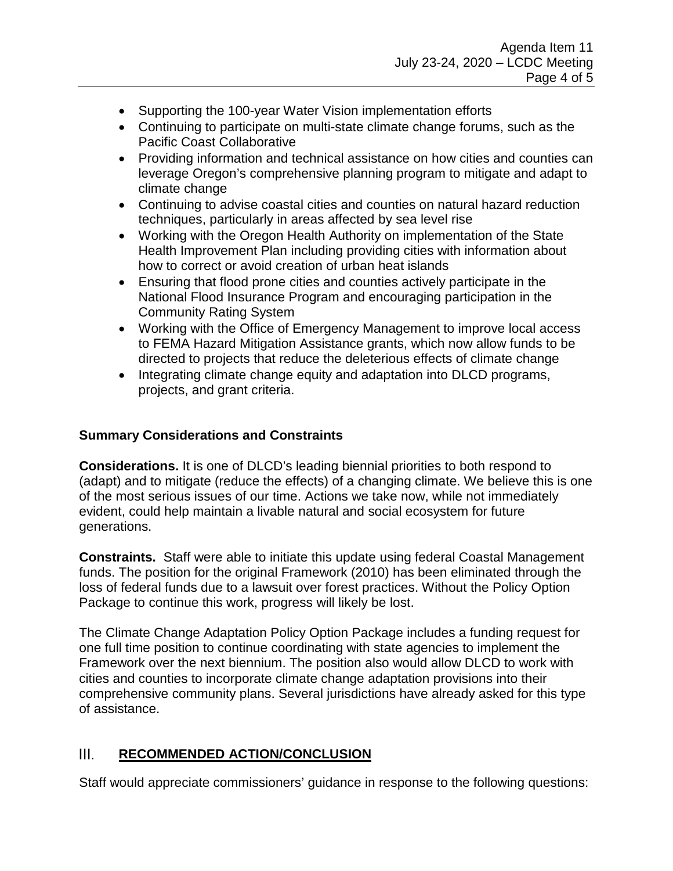- Supporting the 100-year Water Vision implementation efforts
- Continuing to participate on multi-state climate change forums, such as the Pacific Coast Collaborative
- Providing information and technical assistance on how cities and counties can leverage Oregon's comprehensive planning program to mitigate and adapt to climate change
- Continuing to advise coastal cities and counties on natural hazard reduction techniques, particularly in areas affected by sea level rise
- Working with the Oregon Health Authority on implementation of the State Health Improvement Plan including providing cities with information about how to correct or avoid creation of urban heat islands
- Ensuring that flood prone cities and counties actively participate in the National Flood Insurance Program and encouraging participation in the Community Rating System
- Working with the Office of Emergency Management to improve local access to FEMA Hazard Mitigation Assistance grants, which now allow funds to be directed to projects that reduce the deleterious effects of climate change
- Integrating climate change equity and adaptation into DLCD programs, projects, and grant criteria.

# **Summary Considerations and Constraints**

**Considerations.** It is one of DLCD's leading biennial priorities to both respond to (adapt) and to mitigate (reduce the effects) of a changing climate. We believe this is one of the most serious issues of our time. Actions we take now, while not immediately evident, could help maintain a livable natural and social ecosystem for future generations.

**Constraints.** Staff were able to initiate this update using federal Coastal Management funds. The position for the original Framework (2010) has been eliminated through the loss of federal funds due to a lawsuit over forest practices. Without the Policy Option Package to continue this work, progress will likely be lost.

The Climate Change Adaptation Policy Option Package includes a funding request for one full time position to continue coordinating with state agencies to implement the Framework over the next biennium. The position also would allow DLCD to work with cities and counties to incorporate climate change adaptation provisions into their comprehensive community plans. Several jurisdictions have already asked for this type of assistance.

#### III. **RECOMMENDED ACTION/CONCLUSION**

Staff would appreciate commissioners' guidance in response to the following questions: